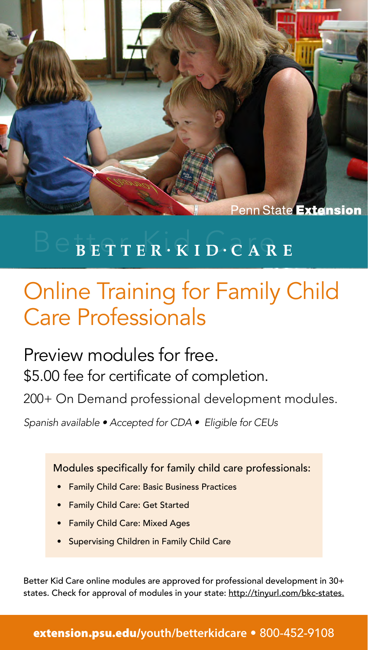

## $\overline{B}$  ETTER  $\cdot$  KID $\cdot$  CARE

# Online Training for Family Child Care Professionals

Preview modules for free. \$5.00 fee for certificate of completion. 200+ On Demand professional development modules.

Spanish available • Accepted for CDA • Eligible for CEUs

Modules specifically for family child care professionals:

- Family Child Care: Basic Business Practices
- Family Child Care: Get Started
- Family Child Care: Mixed Ages
- Supervising Children in Family Child Care

Better Kid Care online modules are approved for professional development in 30+ states. Check for approval of modules in your state: <http://tinyurl.com/bkc-states>.

### [extension.psu.edu/](http://extension.psu.edu/youth/betterkidcare)**youth/betterkidcare** • 800-452-9108